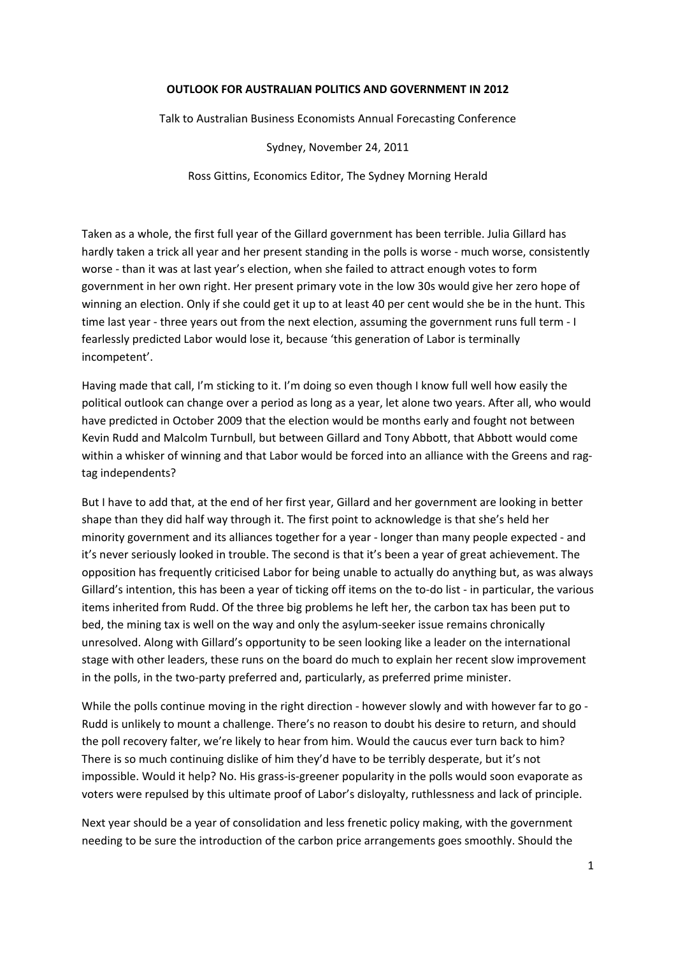### **OUTLOOK FOR AUSTRALIAN POLITICS AND GOVERNMENT IN 2012**

Talk to Australian Business Economists Annual Forecasting Conference

Sydney, November 24, 2011

Ross Gittins, Economics Editor, The Sydney Morning Herald

Taken as a whole, the first full year of the Gillard government has been terrible. Julia Gillard has hardly taken a trick all year and her present standing in the polls is worse - much worse, consistently worse ‐ than it was at last year's election, when she failed to attract enough votes to form government in her own right. Her present primary vote in the low 30s would give her zero hope of winning an election. Only if she could get it up to at least 40 per cent would she be in the hunt. This time last year ‐ three years out from the next election, assuming the government runs full term ‐ I fearlessly predicted Labor would lose it, because 'this generation of Labor is terminally incompetent'.

Having made that call, I'm sticking to it. I'm doing so even though I know full well how easily the political outlook can change over a period as long as a year, let alone two years. After all, who would have predicted in October 2009 that the election would be months early and fought not between Kevin Rudd and Malcolm Turnbull, but between Gillard and Tony Abbott, that Abbott would come within a whisker of winning and that Labor would be forced into an alliance with the Greens and ragtag independents?

But I have to add that, at the end of her first year, Gillard and her government are looking in better shape than they did half way through it. The first point to acknowledge is that she's held her minority government and its alliances together for a year ‐ longer than many people expected ‐ and it's never seriously looked in trouble. The second is that it's been a year of great achievement. The opposition has frequently criticised Labor for being unable to actually do anything but, as was always Gillard's intention, this has been a year of ticking off items on the to‐do list ‐ in particular, the various items inherited from Rudd. Of the three big problems he left her, the carbon tax has been put to bed, the mining tax is well on the way and only the asylum-seeker issue remains chronically unresolved. Along with Gillard's opportunity to be seen looking like a leader on the international stage with other leaders, these runs on the board do much to explain her recent slow improvement in the polls, in the two-party preferred and, particularly, as preferred prime minister.

While the polls continue moving in the right direction - however slowly and with however far to go -Rudd is unlikely to mount a challenge. There's no reason to doubt his desire to return, and should the poll recovery falter, we're likely to hear from him. Would the caucus ever turn back to him? There is so much continuing dislike of him they'd have to be terribly desperate, but it's not impossible. Would it help? No. His grass‐is‐greener popularity in the polls would soon evaporate as voters were repulsed by this ultimate proof of Labor's disloyalty, ruthlessness and lack of principle.

Next year should be a year of consolidation and less frenetic policy making, with the government needing to be sure the introduction of the carbon price arrangements goes smoothly. Should the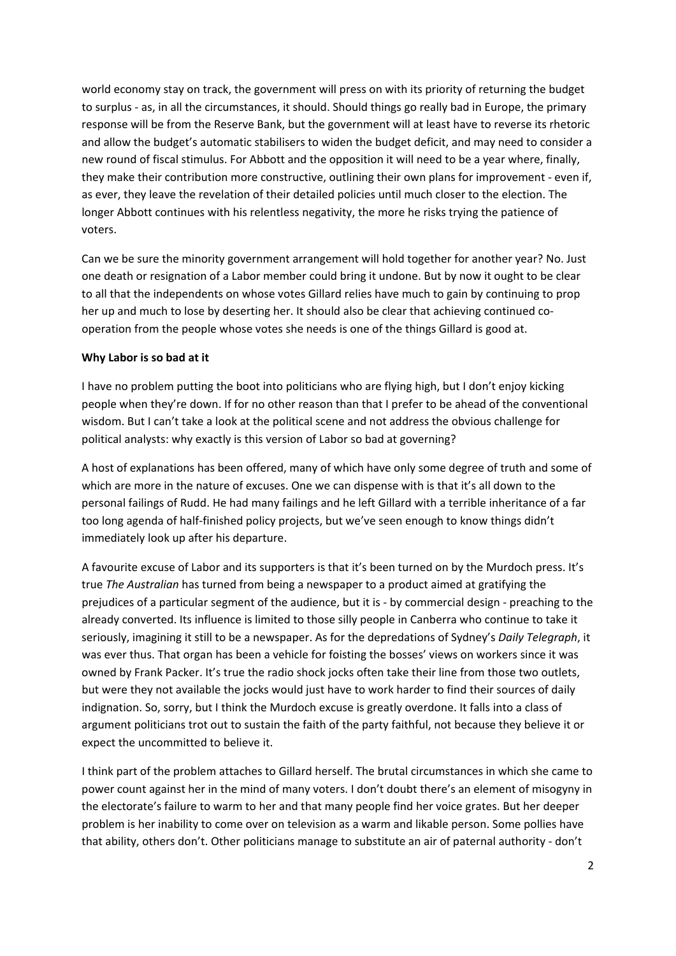world economy stay on track, the government will press on with its priority of returning the budget to surplus ‐ as, in all the circumstances, it should. Should things go really bad in Europe, the primary response will be from the Reserve Bank, but the government will at least have to reverse its rhetoric and allow the budget's automatic stabilisers to widen the budget deficit, and may need to consider a new round of fiscal stimulus. For Abbott and the opposition it will need to be a year where, finally, they make their contribution more constructive, outlining their own plans for improvement ‐ even if, as ever, they leave the revelation of their detailed policies until much closer to the election. The longer Abbott continues with his relentless negativity, the more he risks trying the patience of voters.

Can we be sure the minority government arrangement will hold together for another year? No. Just one death or resignation of a Labor member could bring it undone. But by now it ought to be clear to all that the independents on whose votes Gillard relies have much to gain by continuing to prop her up and much to lose by deserting her. It should also be clear that achieving continued cooperation from the people whose votes she needs is one of the things Gillard is good at.

## **Why Labor is so bad at it**

I have no problem putting the boot into politicians who are flying high, but I don't enjoy kicking people when they're down. If for no other reason than that I prefer to be ahead of the conventional wisdom. But I can't take a look at the political scene and not address the obvious challenge for political analysts: why exactly is this version of Labor so bad at governing?

A host of explanations has been offered, many of which have only some degree of truth and some of which are more in the nature of excuses. One we can dispense with is that it's all down to the personal failings of Rudd. He had many failings and he left Gillard with a terrible inheritance of a far too long agenda of half-finished policy projects, but we've seen enough to know things didn't immediately look up after his departure.

A favourite excuse of Labor and its supporters is that it's been turned on by the Murdoch press. It's true *The Australian* has turned from being a newspaper to a product aimed at gratifying the prejudices of a particular segment of the audience, but it is ‐ by commercial design ‐ preaching to the already converted. Its influence is limited to those silly people in Canberra who continue to take it seriously, imagining it still to be a newspaper. As for the depredations of Sydney's *Daily Telegraph*, it was ever thus. That organ has been a vehicle for foisting the bosses' views on workers since it was owned by Frank Packer. It's true the radio shock jocks often take their line from those two outlets, but were they not available the jocks would just have to work harder to find their sources of daily indignation. So, sorry, but I think the Murdoch excuse is greatly overdone. It falls into a class of argument politicians trot out to sustain the faith of the party faithful, not because they believe it or expect the uncommitted to believe it.

I think part of the problem attaches to Gillard herself. The brutal circumstances in which she came to power count against her in the mind of many voters. I don't doubt there's an element of misogyny in the electorate's failure to warm to her and that many people find her voice grates. But her deeper problem is her inability to come over on television as a warm and likable person. Some pollies have that ability, others don't. Other politicians manage to substitute an air of paternal authority ‐ don't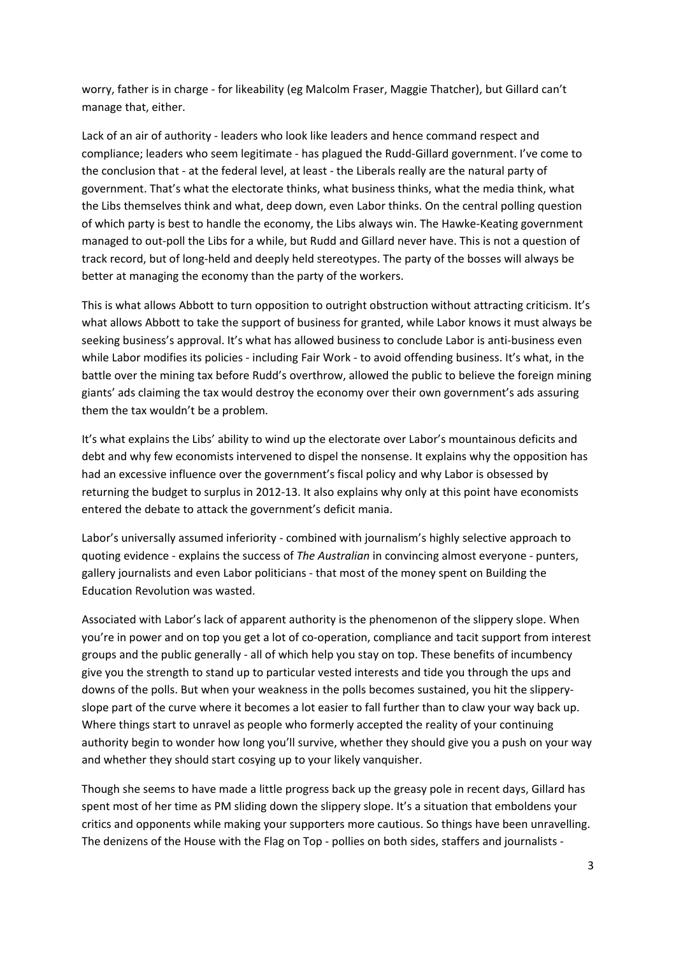worry, father is in charge ‐ for likeability (eg Malcolm Fraser, Maggie Thatcher), but Gillard can't manage that, either.

Lack of an air of authority ‐ leaders who look like leaders and hence command respect and compliance; leaders who seem legitimate ‐ has plagued the Rudd‐Gillard government. I've come to the conclusion that ‐ at the federal level, at least ‐ the Liberals really are the natural party of government. That's what the electorate thinks, what business thinks, what the media think, what the Libs themselves think and what, deep down, even Labor thinks. On the central polling question of which party is best to handle the economy, the Libs always win. The Hawke‐Keating government managed to out‐poll the Libs for a while, but Rudd and Gillard never have. This is not a question of track record, but of long‐held and deeply held stereotypes. The party of the bosses will always be better at managing the economy than the party of the workers.

This is what allows Abbott to turn opposition to outright obstruction without attracting criticism. It's what allows Abbott to take the support of business for granted, while Labor knows it must always be seeking business's approval. It's what has allowed business to conclude Labor is anti-business even while Labor modifies its policies - including Fair Work - to avoid offending business. It's what, in the battle over the mining tax before Rudd's overthrow, allowed the public to believe the foreign mining giants' ads claiming the tax would destroy the economy over their own government's ads assuring them the tax wouldn't be a problem.

It's what explains the Libs' ability to wind up the electorate over Labor's mountainous deficits and debt and why few economists intervened to dispel the nonsense. It explains why the opposition has had an excessive influence over the government's fiscal policy and why Labor is obsessed by returning the budget to surplus in 2012‐13. It also explains why only at this point have economists entered the debate to attack the government's deficit mania.

Labor's universally assumed inferiority - combined with journalism's highly selective approach to quoting evidence ‐ explains the success of *The Australian* in convincing almost everyone ‐ punters, gallery journalists and even Labor politicians ‐ that most of the money spent on Building the Education Revolution was wasted.

Associated with Labor's lack of apparent authority is the phenomenon of the slippery slope. When you're in power and on top you get a lot of co-operation, compliance and tacit support from interest groups and the public generally ‐ all of which help you stay on top. These benefits of incumbency give you the strength to stand up to particular vested interests and tide you through the ups and downs of the polls. But when your weakness in the polls becomes sustained, you hit the slippery‐ slope part of the curve where it becomes a lot easier to fall further than to claw your way back up. Where things start to unravel as people who formerly accepted the reality of your continuing authority begin to wonder how long you'll survive, whether they should give you a push on your way and whether they should start cosying up to your likely vanquisher.

Though she seems to have made a little progress back up the greasy pole in recent days, Gillard has spent most of her time as PM sliding down the slippery slope. It's a situation that emboldens your critics and opponents while making your supporters more cautious. So things have been unravelling. The denizens of the House with the Flag on Top - pollies on both sides, staffers and journalists -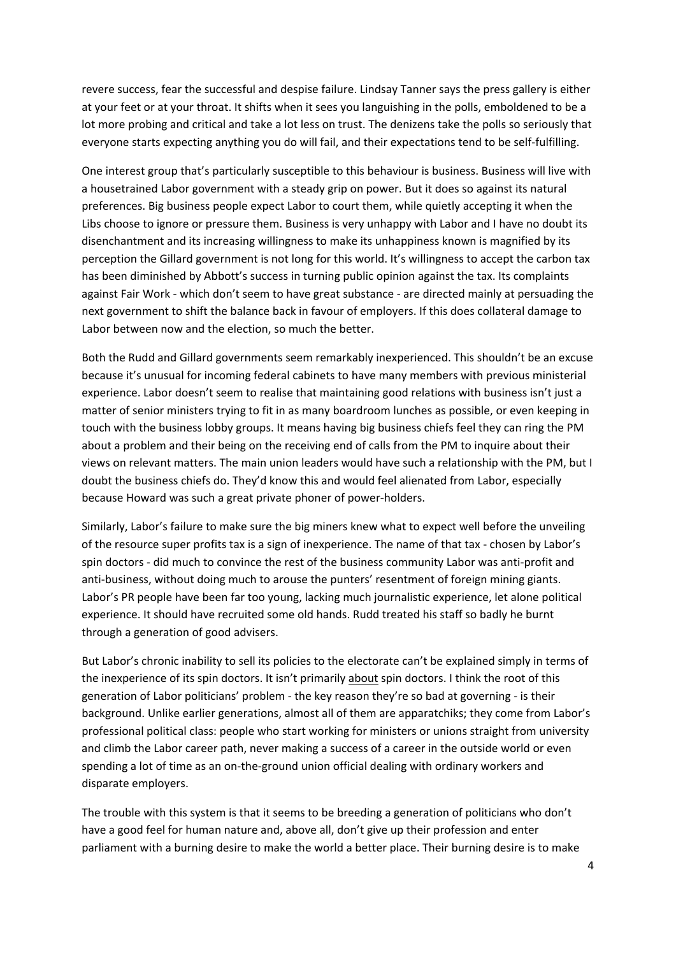revere success, fear the successful and despise failure. Lindsay Tanner says the press gallery is either at your feet or at your throat. It shifts when it sees you languishing in the polls, emboldened to be a lot more probing and critical and take a lot less on trust. The denizens take the polls so seriously that everyone starts expecting anything you do will fail, and their expectations tend to be self-fulfilling.

One interest group that's particularly susceptible to this behaviour is business. Business will live with a housetrained Labor government with a steady grip on power. But it does so against its natural preferences. Big business people expect Labor to court them, while quietly accepting it when the Libs choose to ignore or pressure them. Business is very unhappy with Labor and I have no doubt its disenchantment and its increasing willingness to make its unhappiness known is magnified by its perception the Gillard government is not long for this world. It's willingness to accept the carbon tax has been diminished by Abbott's success in turning public opinion against the tax. Its complaints against Fair Work ‐ which don't seem to have great substance ‐ are directed mainly at persuading the next government to shift the balance back in favour of employers. If this does collateral damage to Labor between now and the election, so much the better.

Both the Rudd and Gillard governments seem remarkably inexperienced. This shouldn't be an excuse because it's unusual for incoming federal cabinets to have many members with previous ministerial experience. Labor doesn't seem to realise that maintaining good relations with business isn't just a matter of senior ministers trying to fit in as many boardroom lunches as possible, or even keeping in touch with the business lobby groups. It means having big business chiefs feel they can ring the PM about a problem and their being on the receiving end of calls from the PM to inquire about their views on relevant matters. The main union leaders would have such a relationship with the PM, but I doubt the business chiefs do. They'd know this and would feel alienated from Labor, especially because Howard was such a great private phoner of power‐holders.

Similarly, Labor's failure to make sure the big miners knew what to expect well before the unveiling of the resource super profits tax is a sign of inexperience. The name of that tax ‐ chosen by Labor's spin doctors - did much to convince the rest of the business community Labor was anti-profit and anti-business, without doing much to arouse the punters' resentment of foreign mining giants. Labor's PR people have been far too young, lacking much journalistic experience, let alone political experience. It should have recruited some old hands. Rudd treated his staff so badly he burnt through a generation of good advisers.

But Labor's chronic inability to sell its policies to the electorate can't be explained simply in terms of the inexperience of its spin doctors. It isn't primarily about spin doctors. I think the root of this generation of Labor politicians' problem ‐ the key reason they're so bad at governing ‐ is their background. Unlike earlier generations, almost all of them are apparatchiks; they come from Labor's professional political class: people who start working for ministers or unions straight from university and climb the Labor career path, never making a success of a career in the outside world or even spending a lot of time as an on-the-ground union official dealing with ordinary workers and disparate employers.

The trouble with this system is that it seems to be breeding a generation of politicians who don't have a good feel for human nature and, above all, don't give up their profession and enter parliament with a burning desire to make the world a better place. Their burning desire is to make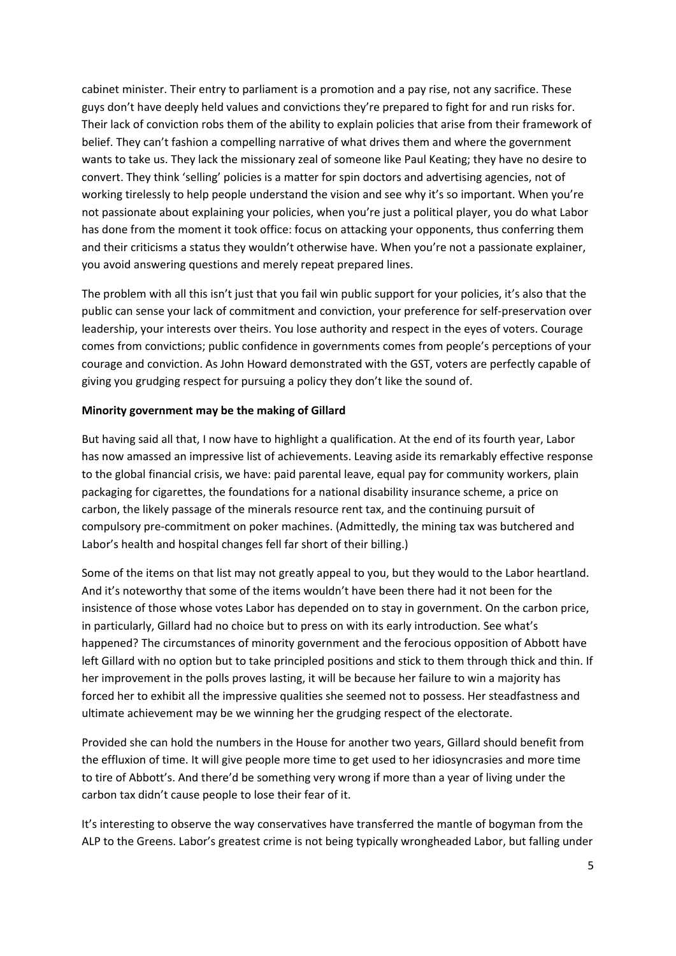cabinet minister. Their entry to parliament is a promotion and a pay rise, not any sacrifice. These guys don't have deeply held values and convictions they're prepared to fight for and run risks for. Their lack of conviction robs them of the ability to explain policies that arise from their framework of belief. They can't fashion a compelling narrative of what drives them and where the government wants to take us. They lack the missionary zeal of someone like Paul Keating; they have no desire to convert. They think 'selling' policies is a matter for spin doctors and advertising agencies, not of working tirelessly to help people understand the vision and see why it's so important. When you're not passionate about explaining your policies, when you're just a political player, you do what Labor has done from the moment it took office: focus on attacking your opponents, thus conferring them and their criticisms a status they wouldn't otherwise have. When you're not a passionate explainer, you avoid answering questions and merely repeat prepared lines.

The problem with all this isn't just that you fail win public support for your policies, it's also that the public can sense your lack of commitment and conviction, your preference for self‐preservation over leadership, your interests over theirs. You lose authority and respect in the eyes of voters. Courage comes from convictions; public confidence in governments comes from people's perceptions of your courage and conviction. As John Howard demonstrated with the GST, voters are perfectly capable of giving you grudging respect for pursuing a policy they don't like the sound of.

## **Minority government may be the making of Gillard**

But having said all that, I now have to highlight a qualification. At the end of its fourth year, Labor has now amassed an impressive list of achievements. Leaving aside its remarkably effective response to the global financial crisis, we have: paid parental leave, equal pay for community workers, plain packaging for cigarettes, the foundations for a national disability insurance scheme, a price on carbon, the likely passage of the minerals resource rent tax, and the continuing pursuit of compulsory pre‐commitment on poker machines. (Admittedly, the mining tax was butchered and Labor's health and hospital changes fell far short of their billing.)

Some of the items on that list may not greatly appeal to you, but they would to the Labor heartland. And it's noteworthy that some of the items wouldn't have been there had it not been for the insistence of those whose votes Labor has depended on to stay in government. On the carbon price, in particularly, Gillard had no choice but to press on with its early introduction. See what's happened? The circumstances of minority government and the ferocious opposition of Abbott have left Gillard with no option but to take principled positions and stick to them through thick and thin. If her improvement in the polls proves lasting, it will be because her failure to win a majority has forced her to exhibit all the impressive qualities she seemed not to possess. Her steadfastness and ultimate achievement may be we winning her the grudging respect of the electorate.

Provided she can hold the numbers in the House for another two years, Gillard should benefit from the effluxion of time. It will give people more time to get used to her idiosyncrasies and more time to tire of Abbott's. And there'd be something very wrong if more than a year of living under the carbon tax didn't cause people to lose their fear of it.

It's interesting to observe the way conservatives have transferred the mantle of bogyman from the ALP to the Greens. Labor's greatest crime is not being typically wrongheaded Labor, but falling under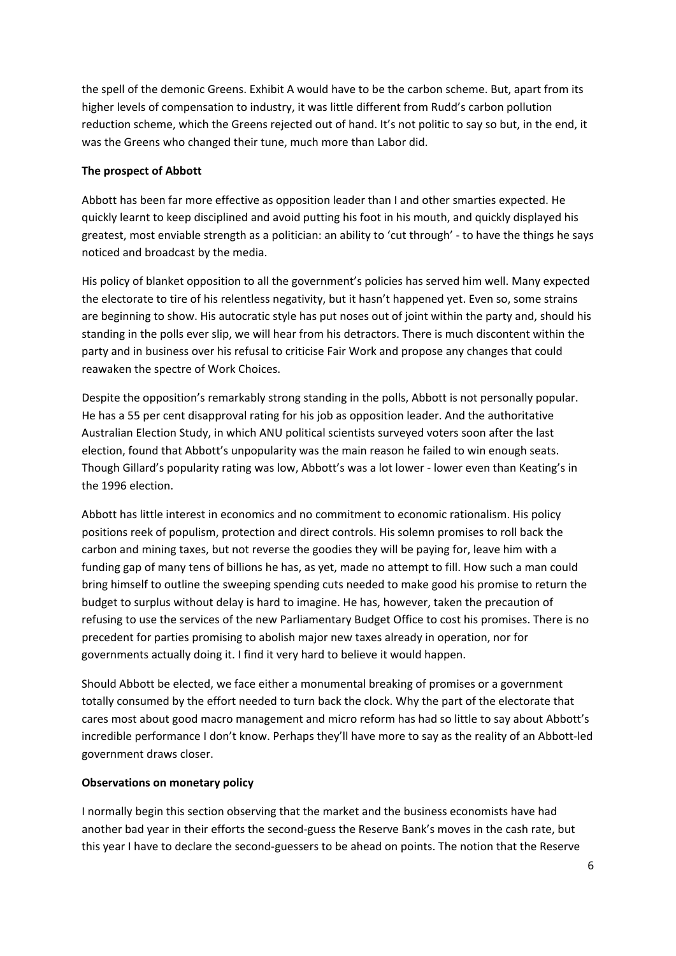the spell of the demonic Greens. Exhibit A would have to be the carbon scheme. But, apart from its higher levels of compensation to industry, it was little different from Rudd's carbon pollution reduction scheme, which the Greens rejected out of hand. It's not politic to say so but, in the end, it was the Greens who changed their tune, much more than Labor did.

# **The prospect of Abbott**

Abbott has been far more effective as opposition leader than I and other smarties expected. He quickly learnt to keep disciplined and avoid putting his foot in his mouth, and quickly displayed his greatest, most enviable strength as a politician: an ability to 'cut through' ‐ to have the things he says noticed and broadcast by the media.

His policy of blanket opposition to all the government's policies has served him well. Many expected the electorate to tire of his relentless negativity, but it hasn't happened yet. Even so, some strains are beginning to show. His autocratic style has put noses out of joint within the party and, should his standing in the polls ever slip, we will hear from his detractors. There is much discontent within the party and in business over his refusal to criticise Fair Work and propose any changes that could reawaken the spectre of Work Choices.

Despite the opposition's remarkably strong standing in the polls, Abbott is not personally popular. He has a 55 per cent disapproval rating for his job as opposition leader. And the authoritative Australian Election Study, in which ANU political scientists surveyed voters soon after the last election, found that Abbott's unpopularity was the main reason he failed to win enough seats. Though Gillard's popularity rating was low, Abbott's was a lot lower ‐ lower even than Keating's in the 1996 election.

Abbott has little interest in economics and no commitment to economic rationalism. His policy positions reek of populism, protection and direct controls. His solemn promises to roll back the carbon and mining taxes, but not reverse the goodies they will be paying for, leave him with a funding gap of many tens of billions he has, as yet, made no attempt to fill. How such a man could bring himself to outline the sweeping spending cuts needed to make good his promise to return the budget to surplus without delay is hard to imagine. He has, however, taken the precaution of refusing to use the services of the new Parliamentary Budget Office to cost his promises. There is no precedent for parties promising to abolish major new taxes already in operation, nor for governments actually doing it. I find it very hard to believe it would happen.

Should Abbott be elected, we face either a monumental breaking of promises or a government totally consumed by the effort needed to turn back the clock. Why the part of the electorate that cares most about good macro management and micro reform has had so little to say about Abbott's incredible performance I don't know. Perhaps they'll have more to say as the reality of an Abbott‐led government draws closer.

## **Observations on monetary policy**

I normally begin this section observing that the market and the business economists have had another bad year in their efforts the second-guess the Reserve Bank's moves in the cash rate, but this year I have to declare the second‐guessers to be ahead on points. The notion that the Reserve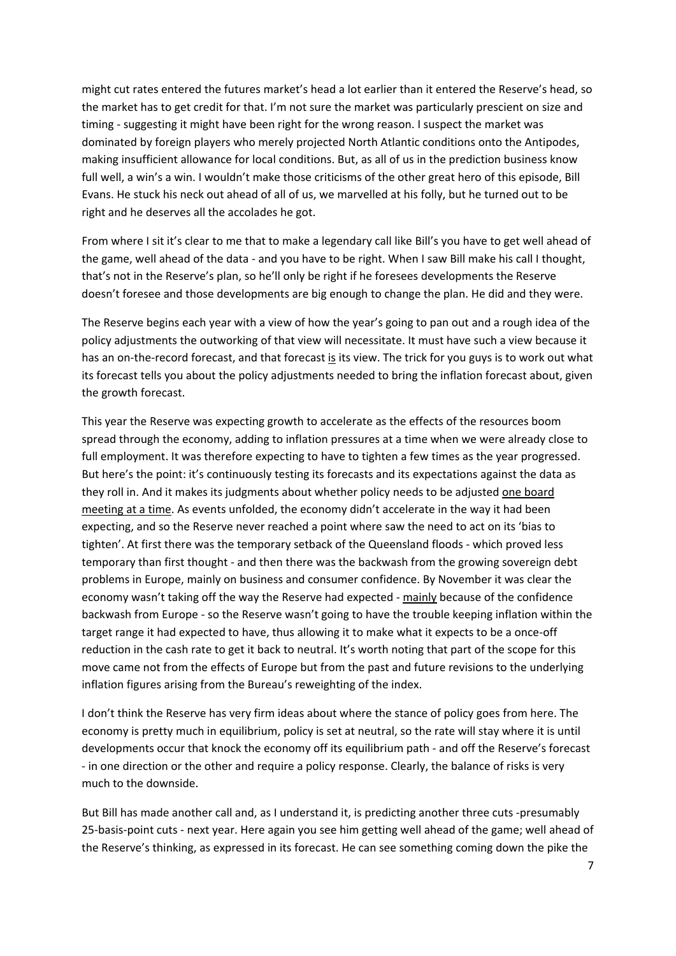might cut rates entered the futures market's head a lot earlier than it entered the Reserve's head, so the market has to get credit for that. I'm not sure the market was particularly prescient on size and timing - suggesting it might have been right for the wrong reason. I suspect the market was dominated by foreign players who merely projected North Atlantic conditions onto the Antipodes, making insufficient allowance for local conditions. But, as all of us in the prediction business know full well, a win's a win. I wouldn't make those criticisms of the other great hero of this episode, Bill Evans. He stuck his neck out ahead of all of us, we marvelled at his folly, but he turned out to be right and he deserves all the accolades he got.

From where I sit it's clear to me that to make a legendary call like Bill's you have to get well ahead of the game, well ahead of the data ‐ and you have to be right. When I saw Bill make his call I thought, that's not in the Reserve's plan, so he'll only be right if he foresees developments the Reserve doesn't foresee and those developments are big enough to change the plan. He did and they were.

The Reserve begins each year with a view of how the year's going to pan out and a rough idea of the policy adjustments the outworking of that view will necessitate. It must have such a view because it has an on-the-record forecast, and that forecast is its view. The trick for you guys is to work out what its forecast tells you about the policy adjustments needed to bring the inflation forecast about, given the growth forecast.

This year the Reserve was expecting growth to accelerate as the effects of the resources boom spread through the economy, adding to inflation pressures at a time when we were already close to full employment. It was therefore expecting to have to tighten a few times as the year progressed. But here's the point: it's continuously testing its forecasts and its expectations against the data as they roll in. And it makes its judgments about whether policy needs to be adjusted one board meeting at a time. As events unfolded, the economy didn't accelerate in the way it had been expecting, and so the Reserve never reached a point where saw the need to act on its 'bias to tighten'. At first there was the temporary setback of the Queensland floods ‐ which proved less temporary than first thought - and then there was the backwash from the growing sovereign debt problems in Europe, mainly on business and consumer confidence. By November it was clear the economy wasn't taking off the way the Reserve had expected ‐ mainly because of the confidence backwash from Europe ‐ so the Reserve wasn't going to have the trouble keeping inflation within the target range it had expected to have, thus allowing it to make what it expects to be a once-off reduction in the cash rate to get it back to neutral. It's worth noting that part of the scope for this move came not from the effects of Europe but from the past and future revisions to the underlying inflation figures arising from the Bureau's reweighting of the index.

I don't think the Reserve has very firm ideas about where the stance of policy goes from here. The economy is pretty much in equilibrium, policy is set at neutral, so the rate will stay where it is until developments occur that knock the economy off its equilibrium path ‐ and off the Reserve's forecast ‐ in one direction or the other and require a policy response. Clearly, the balance of risks is very much to the downside.

But Bill has made another call and, as I understand it, is predicting another three cuts ‐presumably 25-basis-point cuts - next year. Here again you see him getting well ahead of the game; well ahead of the Reserve's thinking, as expressed in its forecast. He can see something coming down the pike the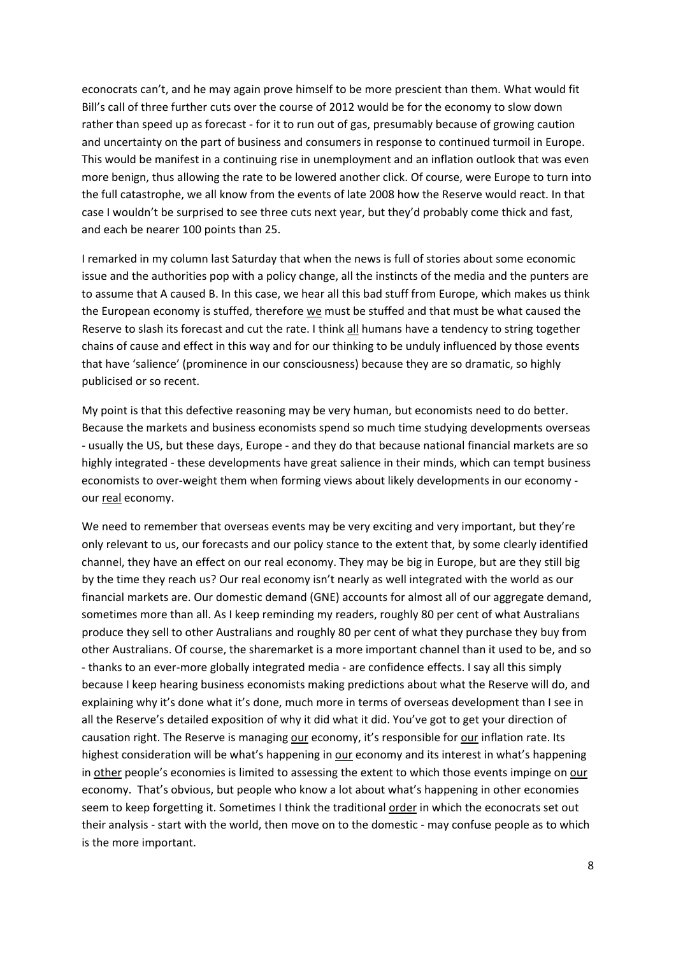econocrats can't, and he may again prove himself to be more prescient than them. What would fit Bill's call of three further cuts over the course of 2012 would be for the economy to slow down rather than speed up as forecast - for it to run out of gas, presumably because of growing caution and uncertainty on the part of business and consumers in response to continued turmoil in Europe. This would be manifest in a continuing rise in unemployment and an inflation outlook that was even more benign, thus allowing the rate to be lowered another click. Of course, were Europe to turn into the full catastrophe, we all know from the events of late 2008 how the Reserve would react. In that case I wouldn't be surprised to see three cuts next year, but they'd probably come thick and fast, and each be nearer 100 points than 25.

I remarked in my column last Saturday that when the news is full of stories about some economic issue and the authorities pop with a policy change, all the instincts of the media and the punters are to assume that A caused B. In this case, we hear all this bad stuff from Europe, which makes us think the European economy is stuffed, therefore we must be stuffed and that must be what caused the Reserve to slash its forecast and cut the rate. I think all humans have a tendency to string together chains of cause and effect in this way and for our thinking to be unduly influenced by those events that have 'salience' (prominence in our consciousness) because they are so dramatic, so highly publicised or so recent.

My point is that this defective reasoning may be very human, but economists need to do better. Because the markets and business economists spend so much time studying developments overseas ‐ usually the US, but these days, Europe ‐ and they do that because national financial markets are so highly integrated ‐ these developments have great salience in their minds, which can tempt business economists to over-weight them when forming views about likely developments in our economy our real economy.

We need to remember that overseas events may be very exciting and very important, but they're only relevant to us, our forecasts and our policy stance to the extent that, by some clearly identified channel, they have an effect on our real economy. They may be big in Europe, but are they still big by the time they reach us? Our real economy isn't nearly as well integrated with the world as our financial markets are. Our domestic demand (GNE) accounts for almost all of our aggregate demand, sometimes more than all. As I keep reminding my readers, roughly 80 per cent of what Australians produce they sell to other Australians and roughly 80 per cent of what they purchase they buy from other Australians. Of course, the sharemarket is a more important channel than it used to be, and so ‐ thanks to an ever‐more globally integrated media ‐ are confidence effects. I say all this simply because I keep hearing business economists making predictions about what the Reserve will do, and explaining why it's done what it's done, much more in terms of overseas development than I see in all the Reserve's detailed exposition of why it did what it did. You've got to get your direction of causation right. The Reserve is managing our economy, it's responsible for our inflation rate. Its highest consideration will be what's happening in our economy and its interest in what's happening in other people's economies is limited to assessing the extent to which those events impinge on our economy. That's obvious, but people who know a lot about what's happening in other economies seem to keep forgetting it. Sometimes I think the traditional order in which the econocrats set out their analysis ‐ start with the world, then move on to the domestic ‐ may confuse people as to which is the more important.